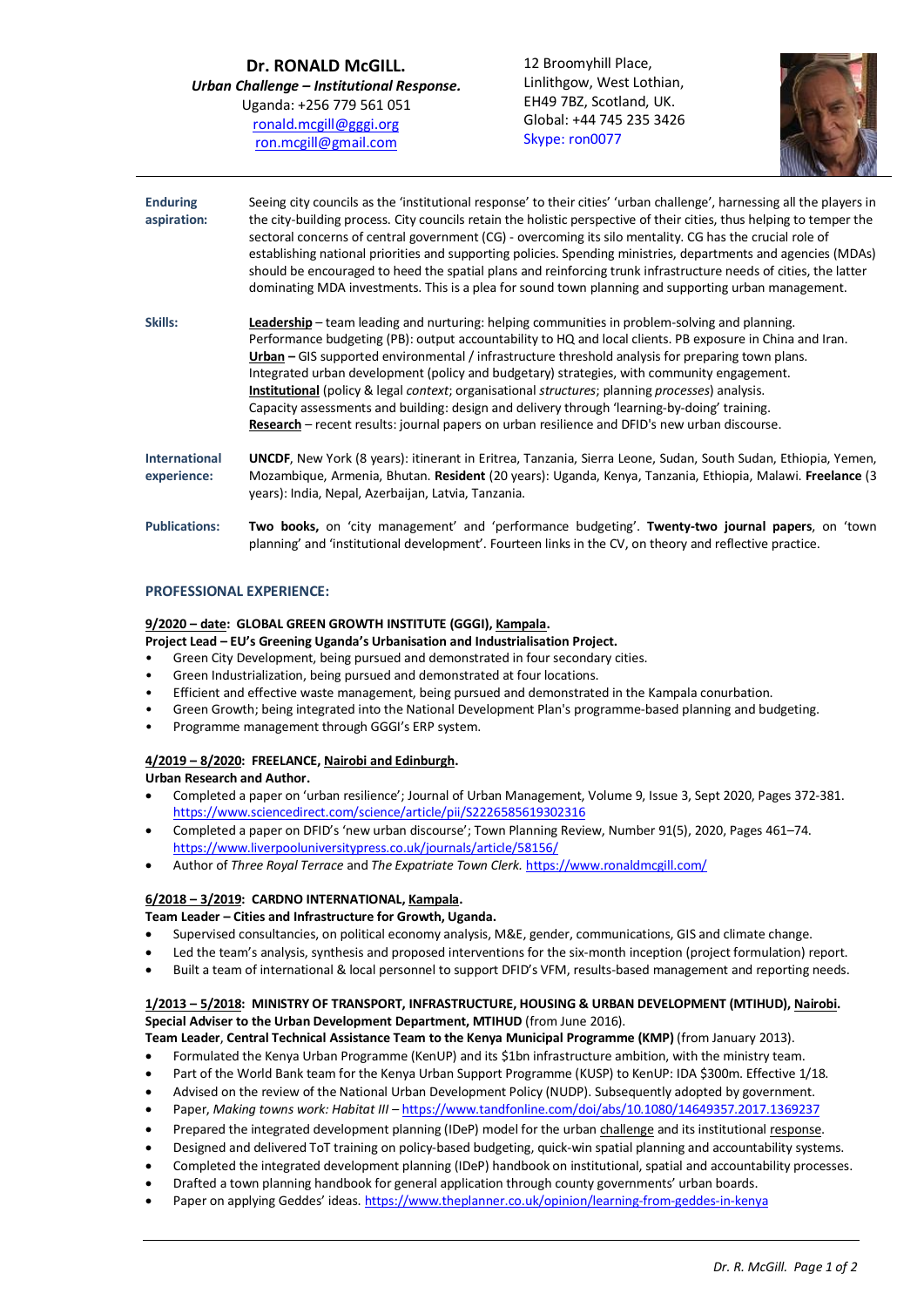**Dr. RONALD McGILL.** *Urban Challenge – Institutional Response.* Uganda: +256 779 561 051 [ronald.mcgill@gggi.org](mailto:ronald.mcgill@gggi.org) [ron.mcgill@gmail.com](mailto:ron.mcgill@gmail.com)

12 Broomyhill Place, Linlithgow, West Lothian, EH49 7BZ, Scotland, UK. Global: +44 745 235 3426 Skype: ron0077



**Enduring aspiration: Skills:** Seeing city councils as the 'institutional response' to their cities' 'urban challenge', harnessing all the players in the city-building process. City councils retain the holistic perspective of their cities, thus helping to temper the sectoral concerns of central government (CG) - overcoming its silo mentality. CG has the crucial role of establishing national priorities and supporting policies. Spending ministries, departments and agencies (MDAs) should be encouraged to heed the spatial plans and reinforcing trunk infrastructure needs of cities, the latter dominating MDA investments. This is a plea for sound town planning and supporting urban management. **Leadership** – team leading and nurturing: helping communities in problem-solving and planning. Performance budgeting (PB): output accountability to HQ and local clients. PB exposure in China and Iran. **Urban –** GIS supported environmental / infrastructure threshold analysis for preparing town plans. Integrated urban development (policy and budgetary) strategies, with community engagement. **Institutional** (policy & legal *context*; organisational *structures*; planning *processes*) analysis. Capacity assessments and building: design and delivery through 'learning-by-doing' training. **Research** – recent results: journal papers on urban resilience and DFID's new urban discourse. **International experience: UNCDF**, New York (8 years): itinerant in Eritrea, Tanzania, Sierra Leone, Sudan, South Sudan, Ethiopia, Yemen, Mozambique, Armenia, Bhutan. **Resident** (20 years): Uganda, Kenya, Tanzania, Ethiopia, Malawi. **Freelance** (3 years): India, Nepal, Azerbaijan, Latvia, Tanzania. **Publications: Two books,** on 'city management' and 'performance budgeting'. **Twenty-two journal papers**, on 'town planning' and 'institutional development'. Fourteen links in the CV, on theory and reflective practice.

#### **PROFESSIONAL EXPERIENCE:**

# **9/2020 – date: GLOBAL GREEN GROWTH INSTITUTE (GGGI), Kampala.**

#### **Project Lead – EU's Greening Uganda's Urbanisation and Industrialisation Project.**

- Green City Development, being pursued and demonstrated in four secondary cities.
- Green Industrialization, being pursued and demonstrated at four locations.
- Efficient and effective waste management, being pursued and demonstrated in the Kampala conurbation.
- Green Growth; being integrated into the National Development Plan's programme-based planning and budgeting.
- Programme management through GGGI's ERP system.

#### **4/2019 – 8/2020: FREELANCE, Nairobi and Edinburgh.**

**Urban Research and Author.**

- Completed a paper on 'urban resilience'; Journal of Urban Management, Volume 9, Issue 3, Sept 2020, Pages 372-381. <https://www.sciencedirect.com/science/article/pii/S2226585619302316>
- Completed a paper on DFID's 'new urban discourse'; Town Planning Review, Number 91(5), 2020, Pages 461–74. <https://www.liverpooluniversitypress.co.uk/journals/article/58156/>
- Author of *Three Royal Terrace* and *The Expatriate Town Clerk.* <https://www.ronaldmcgill.com/>

#### **6/2018 – 3/2019: CARDNO INTERNATIONAL, Kampala.**

#### **Team Leader – Cities and Infrastructure for Growth, Uganda.**

- Supervised consultancies, on political economy analysis, M&E, gender, communications, GIS and climate change.
- Led the team's analysis, synthesis and proposed interventions for the six-month inception (project formulation) report.
- Built a team of international & local personnel to support DFID's VFM, results-based management and reporting needs.

# **1/2013 – 5/2018: MINISTRY OF TRANSPORT, INFRASTRUCTURE, HOUSING & URBAN DEVELOPMENT (MTIHUD), Nairobi. Special Adviser to the Urban Development Department, MTIHUD** (from June 2016).

**Team Leader**, **Central Technical Assistance Team to the Kenya Municipal Programme (KMP)** (from January 2013).

- Formulated the Kenya Urban Programme (KenUP) and its \$1bn infrastructure ambition, with the ministry team.
- Part of the World Bank team for the Kenya Urban Support Programme (KUSP) to KenUP: IDA \$300m. Effective 1/18.
- Advised on the review of the National Urban Development Policy (NUDP). Subsequently adopted by government.
- Paper, *Making towns work: Habitat III –* <https://www.tandfonline.com/doi/abs/10.1080/14649357.2017.1369237>
- Prepared the integrated development planning (IDeP) model for the urban challenge and its institutional response.
- Designed and delivered ToT training on policy-based budgeting, quick-win spatial planning and accountability systems.
- Completed the integrated development planning (IDeP) handbook on institutional, spatial and accountability processes.
- Drafted a town planning handbook for general application through county governments' urban boards.
- Paper on applying Geddes' ideas[. https://www.theplanner.co.uk/opinion/learning-from-geddes-in-kenya](https://www.theplanner.co.uk/opinion/learning-from-geddes-in-kenya)